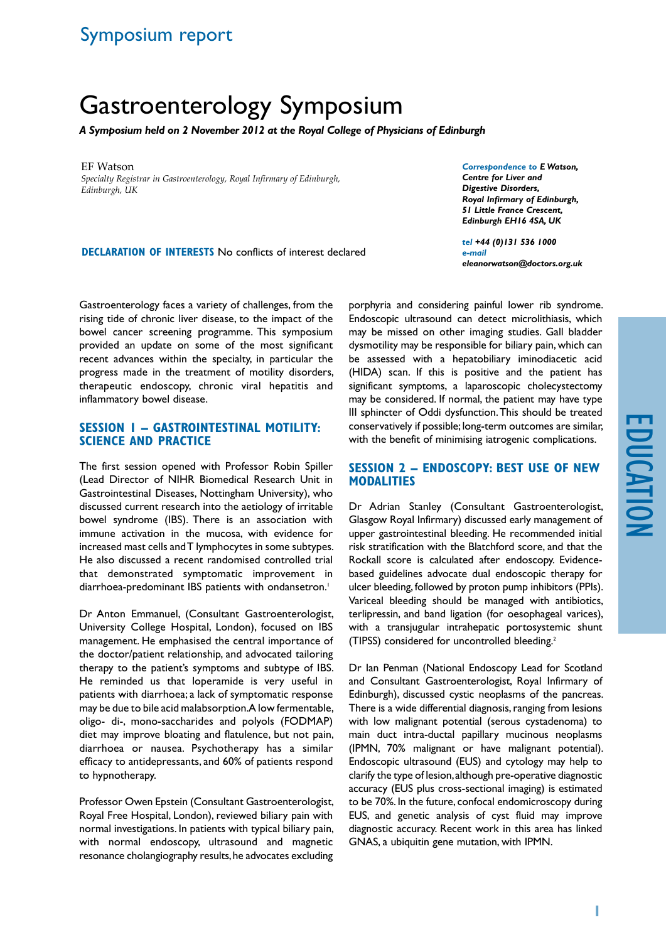# Symposium report

# Gastroenterology Symposium

*A Symposium held on 2 November 2012 at the Royal College of Physicians of Edinburgh*

EF Watson *Specialty Registrar in Gastroenterology, Royal Infirmary of Edinburgh, Edinburgh, UK*

**Declaration of Interests** No conflicts of interest declared

*Correspondence to E Watson, Centre for Liver and Digestive Disorders, Royal Infirmary of Edinburgh, 51 Little France Crescent, Edinburgh EH16 4SA, UK*

*tel +44 (0)131 536 1000 e-mail eleanorwatson@doctors.org.uk*

Gastroenterology faces a variety of challenges, from the rising tide of chronic liver disease, to the impact of the bowel cancer screening programme. This symposium provided an update on some of the most significant recent advances within the specialty, in particular the progress made in the treatment of motility disorders, therapeutic endoscopy, chronic viral hepatitis and inflammatory bowel disease.

#### **Session 1 – Gastrointestinal motility: science and practice**

The first session opened with Professor Robin Spiller (Lead Director of NIHR Biomedical Research Unit in Gastrointestinal Diseases, Nottingham University), who discussed current research into the aetiology of irritable bowel syndrome (IBS). There is an association with immune activation in the mucosa, with evidence for increased mast cells and T lymphocytes in some subtypes. He also discussed a recent randomised controlled trial that demonstrated symptomatic improvement in diarrhoea-predominant IBS patients with ondansetron.<sup>1</sup>

Dr Anton Emmanuel, (Consultant Gastroenterologist, University College Hospital, London), focused on IBS management. He emphasised the central importance of the doctor/patient relationship, and advocated tailoring therapy to the patient's symptoms and subtype of IBS. He reminded us that loperamide is very useful in patients with diarrhoea; a lack of symptomatic response may be due to bile acid malabsorption. A low fermentable, oligo- di-, mono-saccharides and polyols (FODMAP) diet may improve bloating and flatulence, but not pain, diarrhoea or nausea. Psychotherapy has a similar efficacy to antidepressants, and 60% of patients respond to hypnotherapy.

Professor Owen Epstein (Consultant Gastroenterologist, Royal Free Hospital, London), reviewed biliary pain with normal investigations. In patients with typical biliary pain, with normal endoscopy, ultrasound and magnetic resonance cholangiography results, he advocates excluding porphyria and considering painful lower rib syndrome. Endoscopic ultrasound can detect microlithiasis, which may be missed on other imaging studies. Gall bladder dysmotility may be responsible for biliary pain, which can be assessed with a hepatobiliary iminodiacetic acid (HIDA) scan. If this is positive and the patient has significant symptoms, a laparoscopic cholecystectomy may be considered. If normal, the patient may have type III sphincter of Oddi dysfunction. This should be treated conservatively if possible; long-term outcomes are similar, with the benefit of minimising iatrogenic complications.

#### **Session 2 – Endoscopy: best use of new modalities**

Dr Adrian Stanley (Consultant Gastroenterologist, Glasgow Royal Infirmary) discussed early management of upper gastrointestinal bleeding. He recommended initial risk stratification with the Blatchford score, and that the Rockall score is calculated after endoscopy. Evidencebased guidelines advocate dual endoscopic therapy for ulcer bleeding, followed by proton pump inhibitors (PPIs). Variceal bleeding should be managed with antibiotics, terlipressin, and band ligation (for oesophageal varices), with a transjugular intrahepatic portosystemic shunt (TIPSS) considered for uncontrolled bleeding.2

Dr Ian Penman (National Endoscopy Lead for Scotland and Consultant Gastroenterologist, Royal Infirmary of Edinburgh), discussed cystic neoplasms of the pancreas. There is a wide differential diagnosis, ranging from lesions with low malignant potential (serous cystadenoma) to main duct intra-ductal papillary mucinous neoplasms (IPMN, 70% malignant or have malignant potential). Endoscopic ultrasound (EUS) and cytology may help to clarify the type of lesion, although pre-operative diagnostic accuracy (EUS plus cross-sectional imaging) is estimated to be 70%. In the future, confocal endomicroscopy during EUS, and genetic analysis of cyst fluid may improve diagnostic accuracy. Recent work in this area has linked GNAS, a ubiquitin gene mutation, with IPMN.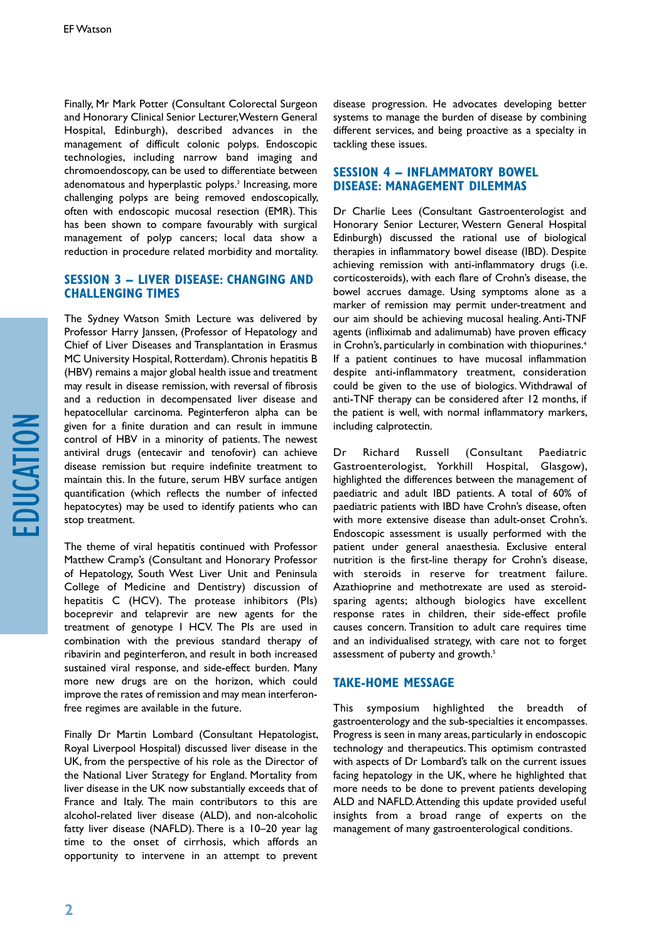Finally, Mr Mark Potter (Consultant Colorectal Surgeon and Honorary Clinical Senior Lecturer, Western General Hospital, Edinburgh), described advances in the management of difficult colonic polyps. Endoscopic technologies, including narrow band imaging and chromoendoscopy, can be used to differentiate between adenomatous and hyperplastic polyps.<sup>3</sup> Increasing, more challenging polyps are being removed endoscopically, often with endoscopic mucosal resection (EMR). This has been shown to compare favourably with surgical management of polyp cancers; local data show a reduction in procedure related morbidity and mortality.

## **Session 3 – Liver Disease: changing and challenging times**

The Sydney Watson Smith Lecture was delivered by Professor Harry Janssen, (Professor of Hepatology and Chief of Liver Diseases and Transplantation in Erasmus MC University Hospital, Rotterdam). Chronis hepatitis B (HBV) remains a major global health issue and treatment may result in disease remission, with reversal of fibrosis and a reduction in decompensated liver disease and hepatocellular carcinoma. Peginterferon alpha can be given for a finite duration and can result in immune control of HBV in a minority of patients. The newest antiviral drugs (entecavir and tenofovir) can achieve disease remission but require indefinite treatment to maintain this. In the future, serum HBV surface antigen quantification (which reflects the number of infected hepatocytes) may be used to identify patients who can stop treatment.

The theme of viral hepatitis continued with Professor Matthew Cramp's (Consultant and Honorary Professor of Hepatology, South West Liver Unit and Peninsula College of Medicine and Dentistry) discussion of hepatitis C (HCV). The protease inhibitors (PIs) boceprevir and telaprevir are new agents for the treatment of genotype I HCV. The PIs are used in combination with the previous standard therapy of ribavirin and peginterferon, and result in both increased sustained viral response, and side-effect burden. Many more new drugs are on the horizon, which could improve the rates of remission and may mean interferonfree regimes are available in the future.

Finally Dr Martin Lombard (Consultant Hepatologist, Royal Liverpool Hospital) discussed liver disease in the UK, from the perspective of his role as the Director of the National Liver Strategy for England. Mortality from liver disease in the UK now substantially exceeds that of France and Italy. The main contributors to this are alcohol-related liver disease (ALD), and non-alcoholic fatty liver disease (NAFLD). There is a 10–20 year lag time to the onset of cirrhosis, which affords an opportunity to intervene in an attempt to prevent disease progression. He advocates developing better systems to manage the burden of disease by combining different services, and being proactive as a specialty in tackling these issues.

### **Session 4 – Inflammatory bowel disease: management dilemmas**

Dr Charlie Lees (Consultant Gastroenterologist and Honorary Senior Lecturer, Western General Hospital Edinburgh) discussed the rational use of biological therapies in inflammatory bowel disease (IBD). Despite achieving remission with anti-inflammatory drugs (i.e. corticosteroids), with each flare of Crohn's disease, the bowel accrues damage. Using symptoms alone as a marker of remission may permit under-treatment and our aim should be achieving mucosal healing. Anti-TNF agents (infliximab and adalimumab) have proven efficacy in Crohn's, particularly in combination with thiopurines.4 If a patient continues to have mucosal inflammation despite anti-inflammatory treatment, consideration could be given to the use of biologics. Withdrawal of anti-TNF therapy can be considered after 12 months, if the patient is well, with normal inflammatory markers, including calprotectin.

Dr Richard Russell (Consultant Paediatric Gastroenterologist, Yorkhill Hospital, Glasgow), highlighted the differences between the management of paediatric and adult IBD patients. A total of 60% of paediatric patients with IBD have Crohn's disease, often with more extensive disease than adult-onset Crohn's. Endoscopic assessment is usually performed with the patient under general anaesthesia. Exclusive enteral nutrition is the first-line therapy for Crohn's disease, with steroids in reserve for treatment failure. Azathioprine and methotrexate are used as steroidsparing agents; although biologics have excellent response rates in children, their side-effect profile causes concern. Transition to adult care requires time and an individualised strategy, with care not to forget assessment of puberty and growth.<sup>5</sup>

### **TAKE-HOME MESSAGE**

This symposium highlighted the breadth of gastroenterology and the sub-specialties it encompasses. Progress is seen in many areas, particularly in endoscopic technology and therapeutics. This optimism contrasted with aspects of Dr Lombard's talk on the current issues facing hepatology in the UK, where he highlighted that more needs to be done to prevent patients developing ALD and NAFLD. Attending this update provided useful insights from a broad range of experts on the management of many gastroenterological conditions.